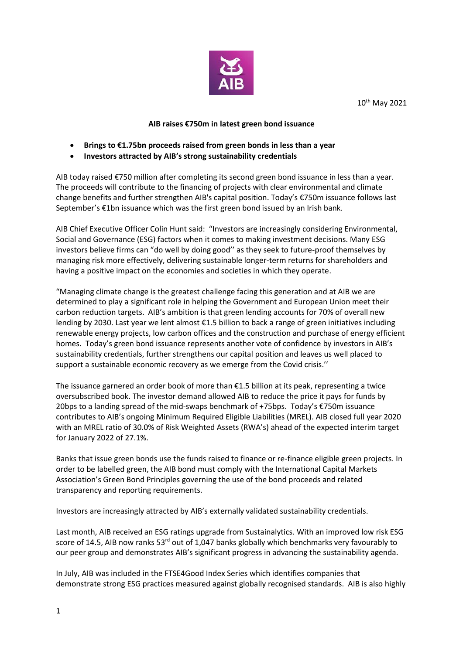

10th May 2021

## **AIB raises €750m in latest green bond issuance**

- **Brings to €1.75bn proceeds raised from green bonds in less than a year**
- **Investors attracted by AIB's strong sustainability credentials**

AIB today raised €750 million after completing its second green bond issuance in less than a year. The proceeds will contribute to the financing of projects with clear environmental and climate change benefits and further strengthen AIB's capital position. Today's €750m issuance follows last September's €1bn issuance which was the first green bond issued by an Irish bank.

AIB Chief Executive Officer Colin Hunt said: "Investors are increasingly considering Environmental, Social and Governance (ESG) factors when it comes to making investment decisions. Many ESG investors believe firms can "do well by doing good'' as they seek to future-proof themselves by managing risk more effectively, delivering sustainable longer-term returns for shareholders and having a positive impact on the economies and societies in which they operate.

"Managing climate change is the greatest challenge facing this generation and at AIB we are determined to play a significant role in helping the Government and European Union meet their carbon reduction targets. AIB's ambition is that green lending accounts for 70% of overall new lending by 2030. Last year we lent almost €1.5 billion to back a range of green initiatives including renewable energy projects, low carbon offices and the construction and purchase of energy efficient homes. Today's green bond issuance represents another vote of confidence by investors in AIB's sustainability credentials, further strengthens our capital position and leaves us well placed to support a sustainable economic recovery as we emerge from the Covid crisis.''

The issuance garnered an order book of more than €1.5 billion at its peak, representing a twice oversubscribed book. The investor demand allowed AIB to reduce the price it pays for funds by 20bps to a landing spread of the mid-swaps benchmark of +75bps. Today's €750m issuance contributes to AIB's ongoing Minimum Required Eligible Liabilities (MREL). AIB closed full year 2020 with an MREL ratio of 30.0% of Risk Weighted Assets (RWA's) ahead of the expected interim target for January 2022 of 27.1%.

Banks that issue green bonds use the funds raised to finance or re-finance eligible green projects. In order to be labelled green, the AIB bond must comply with the International Capital Markets Association's Green Bond Principles governing the use of the bond proceeds and related transparency and reporting requirements.

Investors are increasingly attracted by AIB's externally validated sustainability credentials.

Last month, AIB received an ESG ratings upgrade from Sustainalytics. With an improved low risk ESG score of 14.5, AIB now ranks  $53<sup>rd</sup>$  out of 1,047 banks globally which benchmarks very favourably to our peer group and demonstrates AIB's significant progress in advancing the sustainability agenda.

In July, AIB was included in the FTSE4Good Index Series which identifies companies that demonstrate strong ESG practices measured against globally recognised standards. AIB is also highly